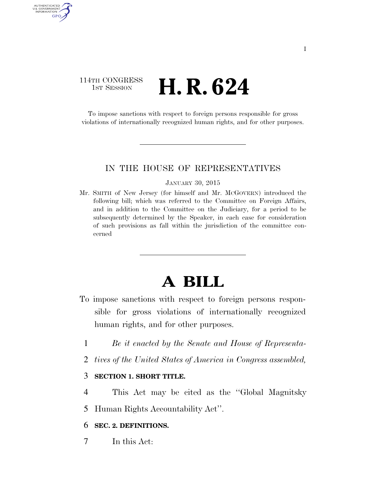## 114TH CONGRESS 1st Session **H. R. 624**

AUTHENTICATED U.S. GOVERNMENT GPO

> To impose sanctions with respect to foreign persons responsible for gross violations of internationally recognized human rights, and for other purposes.

### IN THE HOUSE OF REPRESENTATIVES

#### JANUARY 30, 2015

Mr. SMITH of New Jersey (for himself and Mr. MCGOVERN) introduced the following bill; which was referred to the Committee on Foreign Affairs, and in addition to the Committee on the Judiciary, for a period to be subsequently determined by the Speaker, in each case for consideration of such provisions as fall within the jurisdiction of the committee concerned

# **A BILL**

- To impose sanctions with respect to foreign persons responsible for gross violations of internationally recognized human rights, and for other purposes.
	- 1 *Be it enacted by the Senate and House of Representa-*
	- 2 *tives of the United States of America in Congress assembled,*

### 3 **SECTION 1. SHORT TITLE.**

4 This Act may be cited as the ''Global Magnitsky

5 Human Rights Accountability Act''.

### 6 **SEC. 2. DEFINITIONS.**

7 In this Act: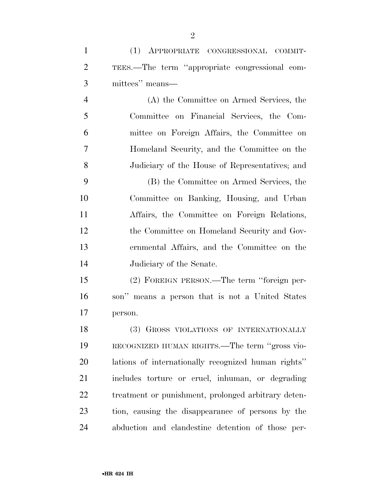|   | (1) APPROPRIATE CONGRESSIONAL COMMIT-          |
|---|------------------------------------------------|
| 2 | TEES.—The term "appropriate congressional com- |
| 3 | mittees" means—                                |
|   | (A) the Committee on Armed Services, the       |
|   | Committee on Financial Services, the Com-      |

 mittee on Foreign Affairs, the Committee on Homeland Security, and the Committee on the Judiciary of the House of Representatives; and

 (B) the Committee on Armed Services, the Committee on Banking, Housing, and Urban Affairs, the Committee on Foreign Relations, the Committee on Homeland Security and Gov- ernmental Affairs, and the Committee on the Judiciary of the Senate.

 (2) FOREIGN PERSON.—The term ''foreign per- son'' means a person that is not a United States person.

18 (3) GROSS VIOLATIONS OF INTERNATIONALLY RECOGNIZED HUMAN RIGHTS.—The term ''gross vio- lations of internationally recognized human rights'' includes torture or cruel, inhuman, or degrading treatment or punishment, prolonged arbitrary deten- tion, causing the disappearance of persons by the abduction and clandestine detention of those per-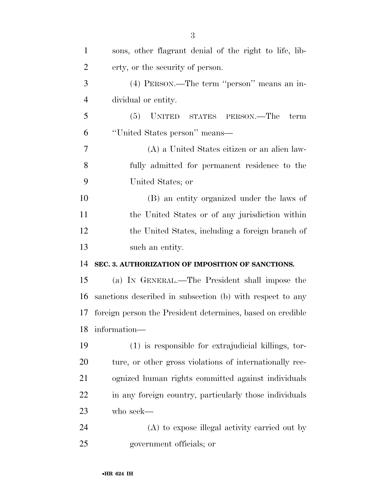| $\mathbf{1}$   | sons, other flagrant denial of the right to life, lib-     |
|----------------|------------------------------------------------------------|
| $\overline{2}$ | erty, or the security of person.                           |
| 3              | (4) PERSON.—The term "person" means an in-                 |
| $\overline{4}$ | dividual or entity.                                        |
| 5              | (5)<br>UNITED STATES PERSON.—The<br>term                   |
| 6              | "United States person" means—                              |
| 7              | (A) a United States citizen or an alien law-               |
| 8              | fully admitted for permanent residence to the              |
| 9              | United States; or                                          |
| 10             | (B) an entity organized under the laws of                  |
| 11             | the United States or of any jurisdiction within            |
| 12             | the United States, including a foreign branch of           |
| 13             | such an entity.                                            |
| 14             | SEC. 3. AUTHORIZATION OF IMPOSITION OF SANCTIONS.          |
| 15             | (a) IN GENERAL.—The President shall impose the             |
| 16             | sanctions described in subsection (b) with respect to any  |
| 17             | foreign person the President determines, based on credible |
| 18             | information-                                               |
| 19             | (1) is responsible for extrajudicial killings, tor-        |
| 20             | ture, or other gross violations of internationally rec-    |
| 21             | ognized human rights committed against individuals         |
| 22             | in any foreign country, particularly those individuals     |
| 23             | who seek—                                                  |
| 24             | (A) to expose illegal activity carried out by              |
|                |                                                            |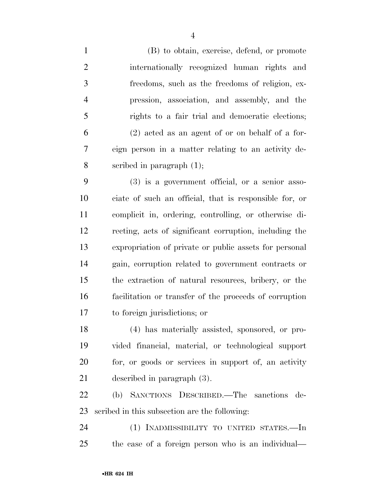(B) to obtain, exercise, defend, or promote internationally recognized human rights and freedoms, such as the freedoms of religion, ex- pression, association, and assembly, and the rights to a fair trial and democratic elections; (2) acted as an agent of or on behalf of a for- eign person in a matter relating to an activity de-scribed in paragraph (1);

 (3) is a government official, or a senior asso- ciate of such an official, that is responsible for, or complicit in, ordering, controlling, or otherwise di- recting, acts of significant corruption, including the expropriation of private or public assets for personal gain, corruption related to government contracts or the extraction of natural resources, bribery, or the facilitation or transfer of the proceeds of corruption to foreign jurisdictions; or

 (4) has materially assisted, sponsored, or pro- vided financial, material, or technological support for, or goods or services in support of, an activity described in paragraph (3).

 (b) SANCTIONS DESCRIBED.—The sanctions de-scribed in this subsection are the following:

 (1) INADMISSIBILITY TO UNITED STATES.—In the case of a foreign person who is an individual—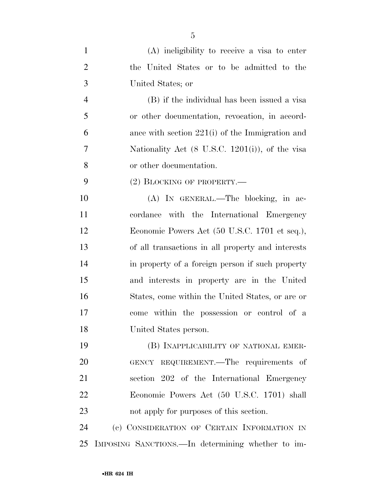| $\mathbf{1}$   | (A) ineligibility to receive a visa to enter      |
|----------------|---------------------------------------------------|
| $\overline{2}$ | the United States or to be admitted to the        |
| 3              | United States; or                                 |
| $\overline{4}$ | (B) if the individual has been issued a visa      |
| 5              | or other documentation, revocation, in accord-    |
| 6              | ance with section $221(i)$ of the Immigration and |
| $\overline{7}$ | Nationality Act (8 U.S.C. 1201(i)), of the visa   |
| 8              | or other documentation.                           |
| 9              | $(2)$ BLOCKING OF PROPERTY.—                      |
| 10             | (A) IN GENERAL.—The blocking, in ac-              |
| 11             | cordance with the International Emergency         |
| 12             | Economic Powers Act (50 U.S.C. 1701 et seq.),     |
| 13             | of all transactions in all property and interests |
| 14             | in property of a foreign person if such property  |
| 15             | and interests in property are in the United       |
| 16             | States, come within the United States, or are or  |
| 17             | come within the possession or control of a        |
| 18             | United States person.                             |
| 19             | (B) INAPPLICABILITY OF NATIONAL EMER-             |
| 20             | GENCY REQUIREMENT.—The requirements of            |
| 21             | section 202 of the International Emergency        |
| 22             | Economic Powers Act (50 U.S.C. 1701) shall        |
| 23             | not apply for purposes of this section.           |
| 24             | (c) CONSIDERATION OF CERTAIN INFORMATION IN       |
| 25             | IMPOSING SANCTIONS.—In determining whether to im- |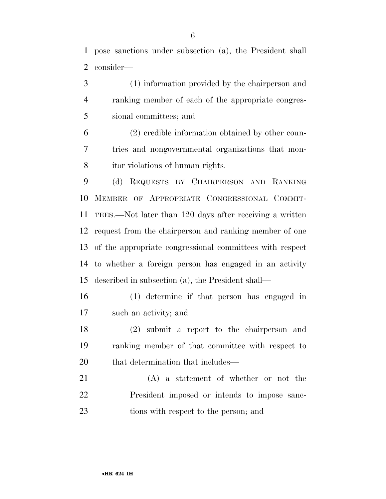pose sanctions under subsection (a), the President shall consider—

 (1) information provided by the chairperson and ranking member of each of the appropriate congres-sional committees; and

 (2) credible information obtained by other coun- tries and nongovernmental organizations that mon-itor violations of human rights.

 (d) REQUESTS BY CHAIRPERSON AND RANKING MEMBER OF APPROPRIATE CONGRESSIONAL COMMIT- TEES.—Not later than 120 days after receiving a written request from the chairperson and ranking member of one of the appropriate congressional committees with respect to whether a foreign person has engaged in an activity described in subsection (a), the President shall—

 (1) determine if that person has engaged in such an activity; and

 (2) submit a report to the chairperson and ranking member of that committee with respect to 20 that determination that includes—

 (A) a statement of whether or not the President imposed or intends to impose sanc-tions with respect to the person; and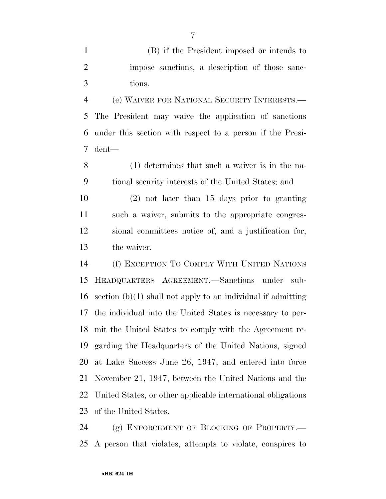(B) if the President imposed or intends to impose sanctions, a description of those sanc-tions.

 (e) WAIVER FOR NATIONAL SECURITY INTERESTS.— The President may waive the application of sanctions under this section with respect to a person if the Presi-dent—

 (1) determines that such a waiver is in the na-tional security interests of the United States; and

 (2) not later than 15 days prior to granting such a waiver, submits to the appropriate congres- sional committees notice of, and a justification for, the waiver.

 (f) EXCEPTION TO COMPLY WITH UNITED NATIONS HEADQUARTERS AGREEMENT.—Sanctions under sub- section (b)(1) shall not apply to an individual if admitting the individual into the United States is necessary to per- mit the United States to comply with the Agreement re- garding the Headquarters of the United Nations, signed at Lake Success June 26, 1947, and entered into force November 21, 1947, between the United Nations and the United States, or other applicable international obligations of the United States.

 (g) ENFORCEMENT OF BLOCKING OF PROPERTY.— A person that violates, attempts to violate, conspires to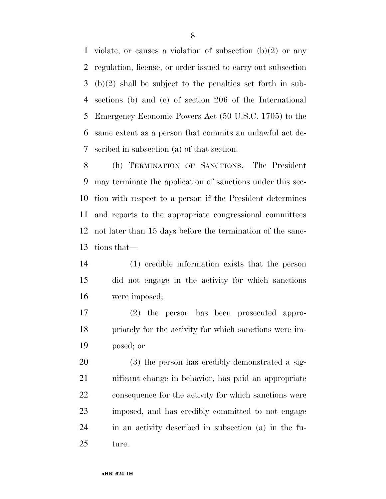1 violate, or causes a violation of subsection  $(b)(2)$  or any regulation, license, or order issued to carry out subsection (b)(2) shall be subject to the penalties set forth in sub- sections (b) and (c) of section 206 of the International Emergency Economic Powers Act (50 U.S.C. 1705) to the same extent as a person that commits an unlawful act de-scribed in subsection (a) of that section.

 (h) TERMINATION OF SANCTIONS.—The President may terminate the application of sanctions under this sec- tion with respect to a person if the President determines and reports to the appropriate congressional committees not later than 15 days before the termination of the sanc-tions that—

 (1) credible information exists that the person did not engage in the activity for which sanctions were imposed;

 (2) the person has been prosecuted appro- priately for the activity for which sanctions were im-posed; or

 (3) the person has credibly demonstrated a sig- nificant change in behavior, has paid an appropriate consequence for the activity for which sanctions were imposed, and has credibly committed to not engage in an activity described in subsection (a) in the fu-ture.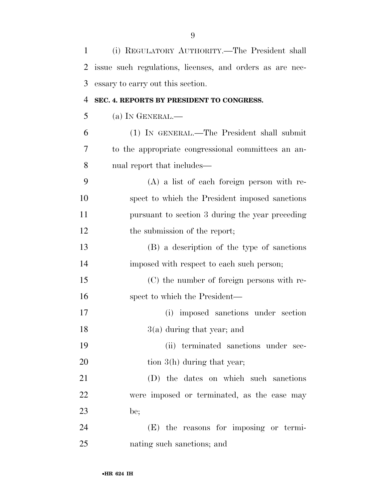| 1  | (i) REGULATORY AUTHORITY.—The President shall            |
|----|----------------------------------------------------------|
| 2  | issue such regulations, licenses, and orders as are nec- |
| 3  | essary to carry out this section.                        |
| 4  | SEC. 4. REPORTS BY PRESIDENT TO CONGRESS.                |
| 5  | (a) IN GENERAL.—                                         |
| 6  | (1) IN GENERAL.—The President shall submit               |
| 7  | to the appropriate congressional committees an an-       |
| 8  | nual report that includes—                               |
| 9  | $(A)$ a list of each foreign person with re-             |
| 10 | spect to which the President imposed sanctions           |
| 11 | pursuant to section 3 during the year preceding          |
| 12 | the submission of the report;                            |
| 13 | (B) a description of the type of sanctions               |
| 14 | imposed with respect to each such person;                |
| 15 | (C) the number of foreign persons with re-               |
| 16 | spect to which the President—                            |
| 17 | (i) imposed sanctions under section                      |
| 18 | $3(a)$ during that year; and                             |
| 19 | (ii) terminated sanctions under sec-                     |
| 20 | tion $3(h)$ during that year;                            |
| 21 | (D) the dates on which such sanctions                    |
| 22 | were imposed or terminated, as the case may              |
| 23 | be;                                                      |
| 24 | (E) the reasons for imposing or termi-                   |
| 25 | nating such sanctions; and                               |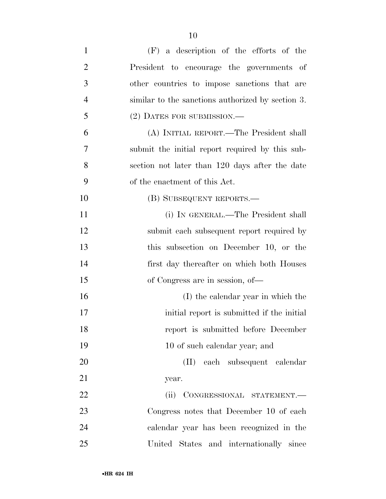| $\mathbf{1}$   | $(F)$ a description of the efforts of the         |
|----------------|---------------------------------------------------|
| $\overline{2}$ | President to encourage the governments of         |
| 3              | other countries to impose sanctions that are      |
| $\overline{4}$ | similar to the sanctions authorized by section 3. |
| 5              | (2) DATES FOR SUBMISSION.-                        |
| 6              | (A) INITIAL REPORT.—The President shall           |
| 7              | submit the initial report required by this sub-   |
| 8              | section not later than 120 days after the date    |
| 9              | of the enactment of this Act.                     |
| 10             | (B) SUBSEQUENT REPORTS.—                          |
| 11             | (i) IN GENERAL.—The President shall               |
| 12             | submit each subsequent report required by         |
| 13             | this subsection on December 10, or the            |
| 14             | first day thereafter on which both Houses         |
| 15             | of Congress are in session, of—                   |
| 16             | (I) the calendar year in which the                |
| 17             | initial report is submitted if the initial        |
| 18             | report is submitted before December               |
| 19             | 10 of such calendar year; and                     |
| 20             | (II) each subsequent calendar                     |
| 21             | year.                                             |
| 22             | (ii) CONGRESSIONAL STATEMENT.-                    |
| 23             | Congress notes that December 10 of each           |
| 24             | calendar year has been recognized in the          |
| 25             | United States and internationally since           |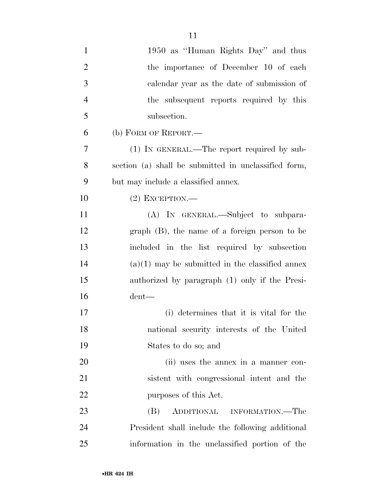| $\mathbf{1}$   | 1950 as "Human Rights Day" and thus                  |
|----------------|------------------------------------------------------|
| $\overline{2}$ | the importance of December 10 of each                |
| 3              | calendar year as the date of submission of           |
| $\overline{4}$ | the subsequent reports required by this              |
| 5              | subsection.                                          |
| 6              | (b) FORM OF REPORT.—                                 |
| 7              | $(1)$ IN GENERAL.—The report required by sub-        |
| 8              | section (a) shall be submitted in unclassified form, |
| 9              | but may include a classified annex.                  |
| 10             | $(2)$ EXCEPTION.—                                    |
| 11             | (A) IN GENERAL.—Subject to subpara-                  |
| 12             | $graph$ (B), the name of a foreign person to be      |
| 13             | included in the list required by subsection          |
| 14             | $(a)(1)$ may be submitted in the classified annex    |
| 15             | authorized by paragraph (1) only if the Presi-       |
| 16             | $d$ ent—                                             |
| 17             | (i) determines that it is vital for the              |
| 18             | national security interests of the United            |
| 19             | States to do so; and                                 |
| 20             | (ii) uses the annex in a manner con-                 |
| 21             | sistent with congressional intent and the            |
| 22             | purposes of this Act.                                |
| 23             | (B)<br>ADDITIONAL INFORMATION.—The                   |
| 24             | President shall include the following additional     |
| 25             | information in the unclassified portion of the       |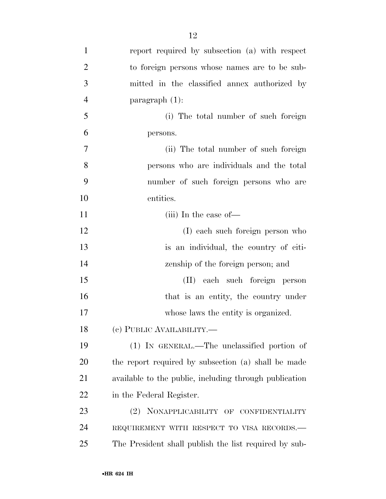| $\mathbf{1}$   | report required by subsection (a) with respect         |
|----------------|--------------------------------------------------------|
| $\overline{2}$ | to foreign persons whose names are to be sub-          |
| 3              | mitted in the classified annex authorized by           |
| $\overline{4}$ | $\frac{1}{2}$ paragraph $(1)$ :                        |
| 5              | (i) The total number of such foreign                   |
| 6              | persons.                                               |
| $\tau$         | (ii) The total number of such foreign                  |
| 8              | persons who are individuals and the total              |
| 9              | number of such foreign persons who are                 |
| 10             | entities.                                              |
| 11             | $(iii)$ In the case of —                               |
| 12             | (I) each such foreign person who                       |
| 13             | is an individual, the country of citi-                 |
| 14             | zenship of the foreign person; and                     |
| 15             | (II) each such foreign person                          |
| 16             | that is an entity, the country under                   |
| 17             | whose laws the entity is organized.                    |
| 18             | (e) PUBLIC AVAILABILITY.—                              |
| 19             | (1) IN GENERAL.—The unclassified portion of            |
| 20             | the report required by subsection (a) shall be made    |
| 21             | available to the public, including through publication |
| 22             | in the Federal Register.                               |
| 23             | NONAPPLICABILITY OF CONFIDENTIALITY<br>(2)             |
| 24             | REQUIREMENT WITH RESPECT TO VISA RECORDS.-             |
| 25             | The President shall publish the list required by sub-  |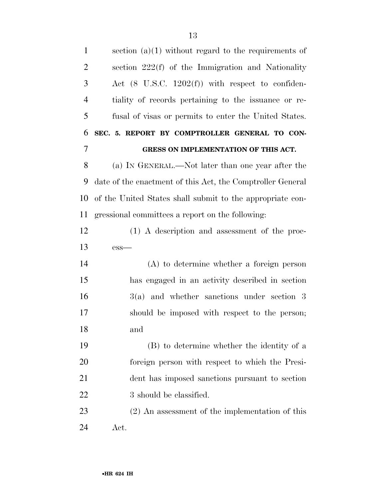| $\mathbf{1}$   | section $(a)(1)$ without regard to the requirements of      |
|----------------|-------------------------------------------------------------|
| $\overline{2}$ | section 222(f) of the Immigration and Nationality           |
| 3              | Act $(8 \text{ U.S.C. } 1202(f))$ with respect to confiden- |
| $\overline{4}$ | tiality of records pertaining to the issuance or re-        |
| 5              | fusal of visas or permits to enter the United States.       |
| 6              | SEC. 5. REPORT BY COMPTROLLER GENERAL TO CON-               |
| $\overline{7}$ | GRESS ON IMPLEMENTATION OF THIS ACT.                        |
| 8              | (a) IN GENERAL.—Not later than one year after the           |
| 9              | date of the enactment of this Act, the Comptroller General  |
| 10             | of the United States shall submit to the appropriate con-   |
| 11             | gressional committees a report on the following:            |
| 12             | (1) A description and assessment of the proc-               |
| 13             | $ess-$                                                      |
| 14             | $(A)$ to determine whether a foreign person                 |
| 15             | has engaged in an activity described in section             |
| 16             | $3(a)$ and whether sanctions under section 3                |
| 17             | should be imposed with respect to the person;               |
| 18             | and                                                         |
| 19             | (B) to determine whether the identity of a                  |
| 20             | foreign person with respect to which the Presi-             |
| 21             | dent has imposed sanctions pursuant to section              |
| <u>22</u>      | 3 should be classified.                                     |
| 23             | $(2)$ An assessment of the implementation of this           |
| 24             | Act.                                                        |